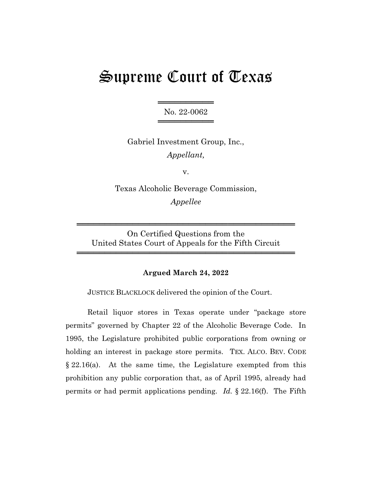# Supreme Court of Texas

═══════════════════ No. 22-0062 ═════════════════

Gabriel Investment Group, Inc., *Appellant,*

v.

Texas Alcoholic Beverage Commission, *Appellee*

On Certified Questions from the United States Court of Appeals for the Fifth Circuit

═══════════════════════════════════════

═══════════════════════════════════════

## **Argued March 24, 2022**

JUSTICE BLACKLOCK delivered the opinion of the Court.

Retail liquor stores in Texas operate under "package store permits" governed by Chapter 22 of the Alcoholic Beverage Code. In 1995, the Legislature prohibited public corporations from owning or holding an interest in package store permits. TEX. ALCO. BEV. CODE  $§ 22.16(a)$ . At the same time, the Legislature exempted from this prohibition any public corporation that, as of April 1995, already had permits or had permit applications pending. *Id.* § 22.16(f). The Fifth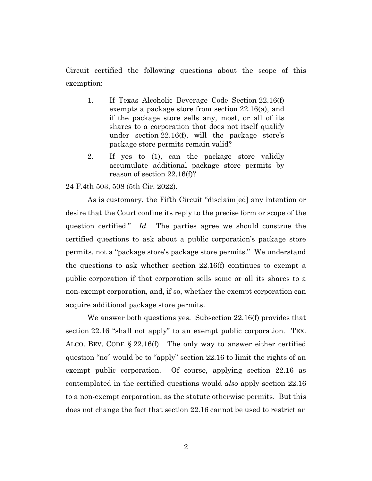Circuit certified the following questions about the scope of this exemption:

- 1. If Texas Alcoholic Beverage Code Section 22.16(f) exempts a package store from section 22.16(a), and if the package store sells any, most, or all of its shares to a corporation that does not itself qualify under section 22.16(f), will the package store's package store permits remain valid?
- 2. If yes to (1), can the package store validly accumulate additional package store permits by reason of section 22.16(f)?

#### 24 F.4th 503, 508 (5th Cir. 2022).

As is customary, the Fifth Circuit "disclaim[ed] any intention or desire that the Court confine its reply to the precise form or scope of the question certified." *Id.* The parties agree we should construe the certified questions to ask about a public corporation's package store permits, not a "package store's package store permits." We understand the questions to ask whether section 22.16(f) continues to exempt a public corporation if that corporation sells some or all its shares to a non-exempt corporation, and, if so, whether the exempt corporation can acquire additional package store permits.

We answer both questions yes. Subsection 22.16(f) provides that section 22.16 "shall not apply" to an exempt public corporation. TEX. ALCO. BEV. CODE § 22.16(f). The only way to answer either certified question "no" would be to "apply" section 22.16 to limit the rights of an exempt public corporation. Of course, applying section 22.16 as contemplated in the certified questions would *also* apply section 22.16 to a non-exempt corporation, as the statute otherwise permits. But this does not change the fact that section 22.16 cannot be used to restrict an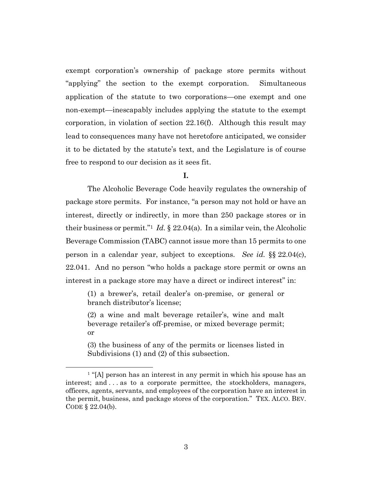exempt corporation's ownership of package store permits without "applying" the section to the exempt corporation. Simultaneous application of the statute to two corporations—one exempt and one non-exempt—inescapably includes applying the statute to the exempt corporation, in violation of section 22.16(f). Although this result may lead to consequences many have not heretofore anticipated, we consider it to be dictated by the statute's text, and the Legislature is of course free to respond to our decision as it sees fit.

#### **I.**

The Alcoholic Beverage Code heavily regulates the ownership of package store permits. For instance, "a person may not hold or have an interest, directly or indirectly, in more than 250 package stores or in their business or permit."<sup>1</sup> *Id.*  $\S$  22.04(a). In a similar vein, the Alcoholic Beverage Commission (TABC) cannot issue more than 15 permits to one person in a calendar year, subject to exceptions. *See id.* §§ 22.04(c), 22.041. And no person "who holds a package store permit or owns an interest in a package store may have a direct or indirect interest" in:

(1) a brewer's, retail dealer's on-premise, or general or branch distributor's license;

(2) a wine and malt beverage retailer's, wine and malt beverage retailer's off-premise, or mixed beverage permit; or

(3) the business of any of the permits or licenses listed in Subdivisions (1) and (2) of this subsection.

<sup>&</sup>lt;sup>1</sup> "[A] person has an interest in any permit in which his spouse has an interest; and . . . as to a corporate permittee, the stockholders, managers, officers, agents, servants, and employees of the corporation have an interest in the permit, business, and package stores of the corporation." TEX. ALCO. BEV. CODE § 22.04(b).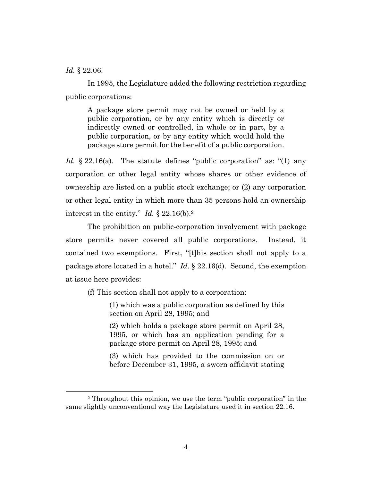*Id.* § 22.06.

In 1995, the Legislature added the following restriction regarding public corporations:

A package store permit may not be owned or held by a public corporation, or by any entity which is directly or indirectly owned or controlled, in whole or in part, by a public corporation, or by any entity which would hold the package store permit for the benefit of a public corporation.

*Id.* § 22.16(a). The statute defines "public corporation" as: "(1) any corporation or other legal entity whose shares or other evidence of ownership are listed on a public stock exchange; or (2) any corporation or other legal entity in which more than 35 persons hold an ownership interest in the entity." *Id.* § 22.16(b).<sup>2</sup>

The prohibition on public-corporation involvement with package store permits never covered all public corporations. Instead, it contained two exemptions. First, "[t]his section shall not apply to a package store located in a hotel." *Id.* § 22.16(d). Second, the exemption at issue here provides:

(f) This section shall not apply to a corporation:

(1) which was a public corporation as defined by this section on April 28, 1995; and

(2) which holds a package store permit on April 28, 1995, or which has an application pending for a package store permit on April 28, 1995; and

(3) which has provided to the commission on or before December 31, 1995, a sworn affidavit stating

<sup>2</sup> Throughout this opinion, we use the term "public corporation" in the same slightly unconventional way the Legislature used it in section 22.16.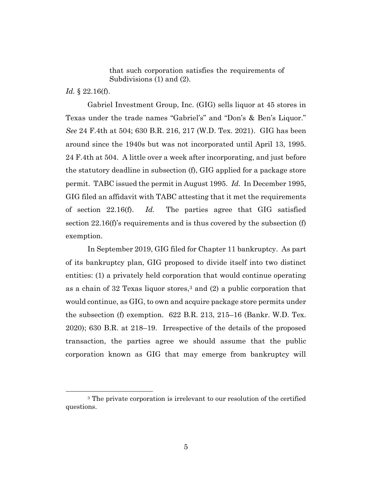that such corporation satisfies the requirements of Subdivisions (1) and (2).

*Id.* § 22.16(f).

Gabriel Investment Group, Inc. (GIG) sells liquor at 45 stores in Texas under the trade names "Gabriel's" and "Don's & Ben's Liquor." *See* 24 F.4th at 504; 630 B.R. 216, 217 (W.D. Tex. 2021). GIG has been around since the 1940s but was not incorporated until April 13, 1995. 24 F.4th at 504. A little over a week after incorporating, and just before the statutory deadline in subsection (f), GIG applied for a package store permit. TABC issued the permit in August 1995. *Id.* In December 1995, GIG filed an affidavit with TABC attesting that it met the requirements of section 22.16(f). *Id.* The parties agree that GIG satisfied section 22.16(f)'s requirements and is thus covered by the subsection (f) exemption.

In September 2019, GIG filed for Chapter 11 bankruptcy. As part of its bankruptcy plan, GIG proposed to divide itself into two distinct entities: (1) a privately held corporation that would continue operating as a chain of 32 Texas liquor stores,<sup>3</sup> and (2) a public corporation that would continue, as GIG, to own and acquire package store permits under the subsection (f) exemption. 622 B.R. 213, 215–16 (Bankr. W.D. Tex. 2020); 630 B.R. at 218–19. Irrespective of the details of the proposed transaction, the parties agree we should assume that the public corporation known as GIG that may emerge from bankruptcy will

<sup>3</sup> The private corporation is irrelevant to our resolution of the certified questions.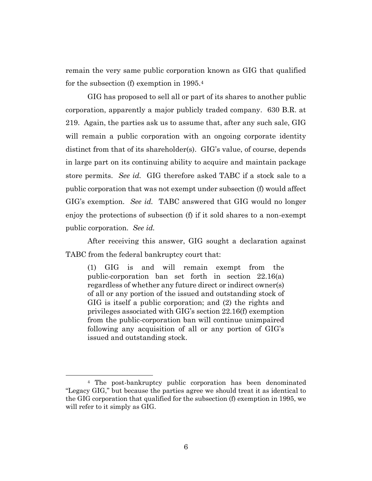remain the very same public corporation known as GIG that qualified for the subsection (f) exemption in 1995.<sup>4</sup>

GIG has proposed to sell all or part of its shares to another public corporation, apparently a major publicly traded company. 630 B.R. at 219. Again, the parties ask us to assume that, after any such sale, GIG will remain a public corporation with an ongoing corporate identity distinct from that of its shareholder(s). GIG's value, of course, depends in large part on its continuing ability to acquire and maintain package store permits. *See id.* GIG therefore asked TABC if a stock sale to a public corporation that was not exempt under subsection (f) would affect GIG's exemption. *See id.* TABC answered that GIG would no longer enjoy the protections of subsection (f) if it sold shares to a non-exempt public corporation. *See id.*

After receiving this answer, GIG sought a declaration against TABC from the federal bankruptcy court that:

(1) GIG is and will remain exempt from the public-corporation ban set forth in section 22.16(a) regardless of whether any future direct or indirect owner(s) of all or any portion of the issued and outstanding stock of GIG is itself a public corporation; and (2) the rights and privileges associated with GIG's section 22.16(f) exemption from the public-corporation ban will continue unimpaired following any acquisition of all or any portion of GIG's issued and outstanding stock.

<sup>4</sup> The post-bankruptcy public corporation has been denominated "Legacy GIG," but because the parties agree we should treat it as identical to the GIG corporation that qualified for the subsection (f) exemption in 1995, we will refer to it simply as GIG.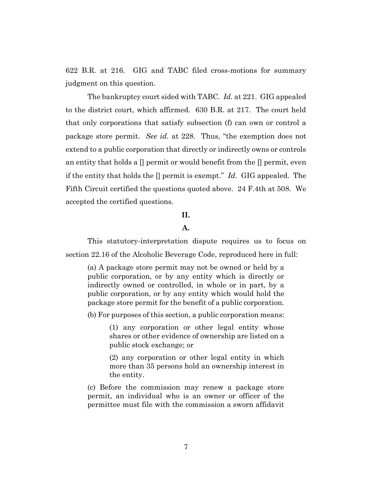622 B.R. at 216. GIG and TABC filed cross-motions for summary judgment on this question.

The bankruptcy court sided with TABC. *Id.* at 221. GIG appealed to the district court, which affirmed. 630 B.R. at 217. The court held that only corporations that satisfy subsection (f) can own or control a package store permit. *See id.* at 228. Thus, "the exemption does not extend to a public corporation that directly or indirectly owns or controls an entity that holds a  $\parallel$  permit or would benefit from the  $\parallel$  permit, even if the entity that holds the [] permit is exempt." *Id.* GIG appealed. The Fifth Circuit certified the questions quoted above. 24 F.4th at 508. We accepted the certified questions.

# **II.**

# **A.**

This statutory-interpretation dispute requires us to focus on section 22.16 of the Alcoholic Beverage Code, reproduced here in full:

(a) A package store permit may not be owned or held by a public corporation, or by any entity which is directly or indirectly owned or controlled, in whole or in part, by a public corporation, or by any entity which would hold the package store permit for the benefit of a public corporation.

(b) For purposes of this section, a public corporation means:

(1) any corporation or other legal entity whose shares or other evidence of ownership are listed on a public stock exchange; or

(2) any corporation or other legal entity in which more than 35 persons hold an ownership interest in the entity.

(c) Before the commission may renew a package store permit, an individual who is an owner or officer of the permittee must file with the commission a sworn affidavit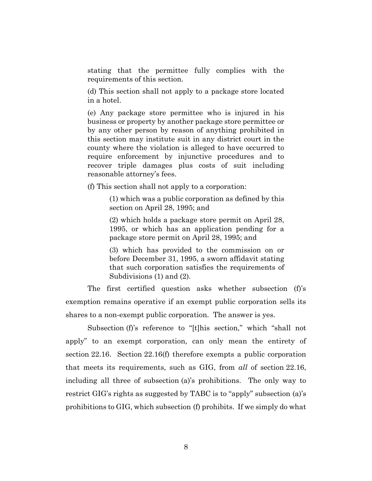stating that the permittee fully complies with the requirements of this section.

(d) This section shall not apply to a package store located in a hotel.

(e) Any package store permittee who is injured in his business or property by another package store permittee or by any other person by reason of anything prohibited in this section may institute suit in any district court in the county where the violation is alleged to have occurred to require enforcement by injunctive procedures and to recover triple damages plus costs of suit including reasonable attorney's fees.

(f) This section shall not apply to a corporation:

(1) which was a public corporation as defined by this section on April 28, 1995; and

(2) which holds a package store permit on April 28, 1995, or which has an application pending for a package store permit on April 28, 1995; and

(3) which has provided to the commission on or before December 31, 1995, a sworn affidavit stating that such corporation satisfies the requirements of Subdivisions (1) and (2).

The first certified question asks whether subsection (f)'s exemption remains operative if an exempt public corporation sells its shares to a non-exempt public corporation. The answer is yes.

Subsection (f)'s reference to "[t]his section," which "shall not apply" to an exempt corporation, can only mean the entirety of section 22.16. Section 22.16(f) therefore exempts a public corporation that meets its requirements, such as GIG, from *all* of section 22.16, including all three of subsection (a)'s prohibitions. The only way to restrict GIG's rights as suggested by TABC is to "apply" subsection (a)'s prohibitions to GIG, which subsection (f) prohibits. If we simply do what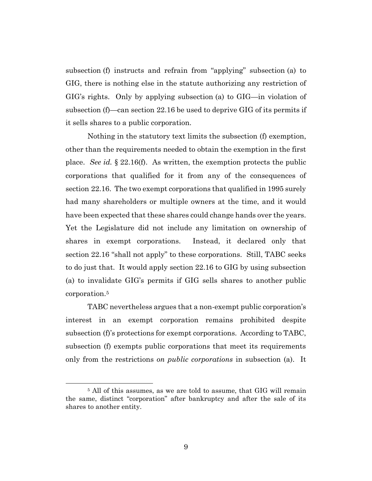subsection (f) instructs and refrain from "applying" subsection (a) to GIG, there is nothing else in the statute authorizing any restriction of GIG's rights. Only by applying subsection (a) to GIG—in violation of subsection (f)—can section 22.16 be used to deprive GIG of its permits if it sells shares to a public corporation.

Nothing in the statutory text limits the subsection (f) exemption, other than the requirements needed to obtain the exemption in the first place. *See id.* § 22.16(f). As written, the exemption protects the public corporations that qualified for it from any of the consequences of section 22.16. The two exempt corporations that qualified in 1995 surely had many shareholders or multiple owners at the time, and it would have been expected that these shares could change hands over the years. Yet the Legislature did not include any limitation on ownership of shares in exempt corporations. Instead, it declared only that section 22.16 "shall not apply" to these corporations. Still, TABC seeks to do just that. It would apply section 22.16 to GIG by using subsection (a) to invalidate GIG's permits if GIG sells shares to another public corporation.<sup>5</sup>

TABC nevertheless argues that a non-exempt public corporation's interest in an exempt corporation remains prohibited despite subsection (f)'s protections for exempt corporations. According to TABC, subsection (f) exempts public corporations that meet its requirements only from the restrictions *on public corporations* in subsection (a). It

<sup>&</sup>lt;sup>5</sup> All of this assumes, as we are told to assume, that GIG will remain the same, distinct "corporation" after bankruptcy and after the sale of its shares to another entity.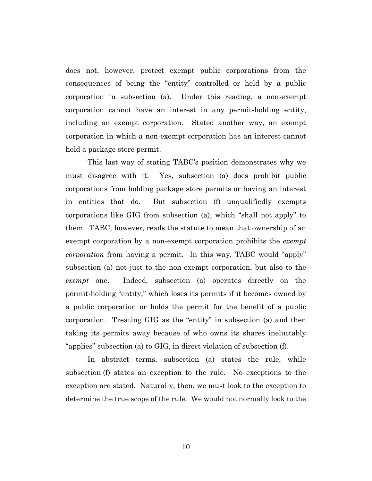does not, however, protect exempt public corporations from the consequences of being the "entity" controlled or held by a public corporation in subsection (a). Under this reading, a non-exempt corporation cannot have an interest in any permit-holding entity, including an exempt corporation. Stated another way, an exempt corporation in which a non-exempt corporation has an interest cannot hold a package store permit.

This last way of stating TABC's position demonstrates why we must disagree with it. Yes, subsection (a) does prohibit public corporations from holding package store permits or having an interest in entities that do. But subsection (f) unqualifiedly exempts corporations like GIG from subsection (a), which "shall not apply" to them. TABC, however, reads the statute to mean that ownership of an exempt corporation by a non-exempt corporation prohibits the *exempt corporation* from having a permit. In this way, TABC would "apply" subsection (a) not just to the non-exempt corporation, but also to the *exempt* one. Indeed, subsection (a) operates directly on the permit-holding "entity," which loses its permits if it becomes owned by a public corporation or holds the permit for the benefit of a public corporation. Treating GIG as the "entity" in subsection (a) and then taking its permits away because of who owns its shares ineluctably "applies" subsection (a) to GIG, in direct violation of subsection (f).

In abstract terms, subsection (a) states the rule, while subsection (f) states an exception to the rule. No exceptions to the exception are stated. Naturally, then, we must look to the exception to determine the true scope of the rule. We would not normally look to the

10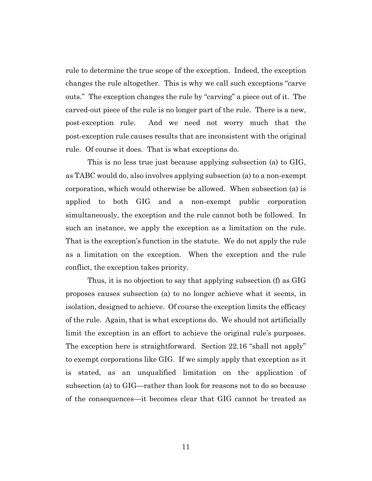rule to determine the true scope of the exception. Indeed, the exception changes the rule altogether. This is why we call such exceptions "carve outs." The exception changes the rule by "carving" a piece out of it. The carved-out piece of the rule is no longer part of the rule. There is a new, post-exception rule. And we need not worry much that the post-exception rule causes results that are inconsistent with the original rule. Of course it does. That is what exceptions do.

This is no less true just because applying subsection (a) to GIG, as TABC would do, also involves applying subsection (a) to a non-exempt corporation, which would otherwise be allowed. When subsection (a) is applied to both GIG and a non-exempt public corporation simultaneously, the exception and the rule cannot both be followed. In such an instance, we apply the exception as a limitation on the rule. That is the exception's function in the statute. We do not apply the rule as a limitation on the exception. When the exception and the rule conflict, the exception takes priority.

Thus, it is no objection to say that applying subsection (f) as GIG proposes causes subsection (a) to no longer achieve what it seems, in isolation, designed to achieve. Of course the exception limits the efficacy of the rule. Again, that is what exceptions do. We should not artificially limit the exception in an effort to achieve the original rule's purposes. The exception here is straightforward. Section 22.16 "shall not apply" to exempt corporations like GIG. If we simply apply that exception as it is stated, as an unqualified limitation on the application of subsection (a) to GIG—rather than look for reasons not to do so because of the consequences—it becomes clear that GIG cannot be treated as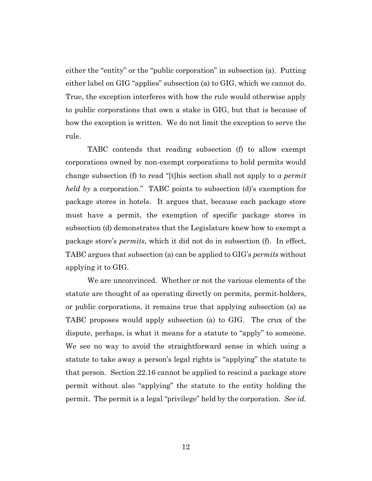either the "entity" or the "public corporation" in subsection (a). Putting either label on GIG "applies" subsection (a) to GIG, which we cannot do. True, the exception interferes with how the rule would otherwise apply to public corporations that own a stake in GIG, but that is because of how the exception is written. We do not limit the exception to serve the rule.

TABC contends that reading subsection (f) to allow exempt corporations owned by non-exempt corporations to hold permits would change subsection (f) to read "[t]his section shall not apply to *a permit held by* a corporation." TABC points to subsection (d)'s exemption for package stores in hotels. It argues that, because each package store must have a permit, the exemption of specific package stores in subsection (d) demonstrates that the Legislature knew how to exempt a package store's *permits*, which it did not do in subsection (f). In effect, TABC argues that subsection (a) can be applied to GIG's *permits* without applying it to GIG.

We are unconvinced. Whether or not the various elements of the statute are thought of as operating directly on permits, permit-holders, or public corporations, it remains true that applying subsection (a) as TABC proposes would apply subsection (a) to GIG. The crux of the dispute, perhaps, is what it means for a statute to "apply" to someone. We see no way to avoid the straightforward sense in which using a statute to take away a person's legal rights is "applying" the statute to that person. Section 22.16 cannot be applied to rescind a package store permit without also "applying" the statute to the entity holding the permit. The permit is a legal "privilege" held by the corporation. *See id.*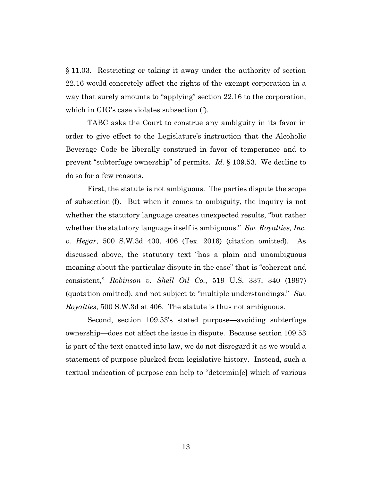§ 11.03. Restricting or taking it away under the authority of section 22.16 would concretely affect the rights of the exempt corporation in a way that surely amounts to "applying" section 22.16 to the corporation, which in GIG's case violates subsection (f).

TABC asks the Court to construe any ambiguity in its favor in order to give effect to the Legislature's instruction that the Alcoholic Beverage Code be liberally construed in favor of temperance and to prevent "subterfuge ownership" of permits. *Id.* § 109.53. We decline to do so for a few reasons.

First, the statute is not ambiguous. The parties dispute the scope of subsection (f). But when it comes to ambiguity, the inquiry is not whether the statutory language creates unexpected results, "but rather whether the statutory language itself is ambiguous." *Sw. Royalties, Inc. v. Hegar*, 500 S.W.3d 400, 406 (Tex. 2016) (citation omitted). As discussed above, the statutory text "has a plain and unambiguous meaning about the particular dispute in the case" that is "coherent and consistent," *Robinson v. Shell Oil Co.*, 519 U.S. 337, 340 (1997) (quotation omitted), and not subject to "multiple understandings." *Sw. Royalties*, 500 S.W.3d at 406. The statute is thus not ambiguous.

Second, section 109.53's stated purpose—avoiding subterfuge ownership—does not affect the issue in dispute. Because section 109.53 is part of the text enacted into law, we do not disregard it as we would a statement of purpose plucked from legislative history. Instead, such a textual indication of purpose can help to "determin[e] which of various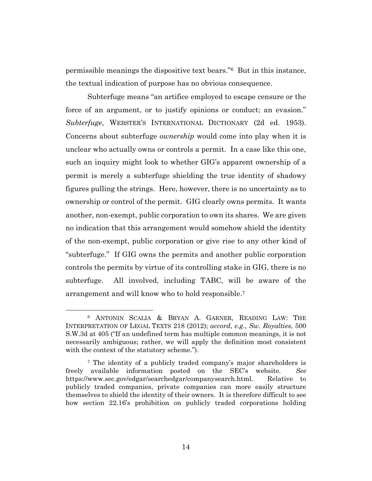permissible meanings the dispositive text bears."6 But in this instance, the textual indication of purpose has no obvious consequence.

Subterfuge means "an artifice employed to escape censure or the force of an argument, or to justify opinions or conduct; an evasion." *Subterfuge*, WEBSTER'S INTERNATIONAL DICTIONARY (2d ed. 1953). Concerns about subterfuge *ownership* would come into play when it is unclear who actually owns or controls a permit. In a case like this one, such an inquiry might look to whether GIG's apparent ownership of a permit is merely a subterfuge shielding the true identity of shadowy figures pulling the strings. Here, however, there is no uncertainty as to ownership or control of the permit. GIG clearly owns permits. It wants another, non-exempt, public corporation to own its shares. We are given no indication that this arrangement would somehow shield the identity of the non-exempt, public corporation or give rise to any other kind of "subterfuge." If GIG owns the permits and another public corporation controls the permits by virtue of its controlling stake in GIG, there is no subterfuge. All involved, including TABC, will be aware of the arrangement and will know who to hold responsible. 7

<sup>6</sup> ANTONIN SCALIA & BRYAN A. GARNER, READING LAW: THE INTERPRETATION OF LEGAL TEXTS 218 (2012); *accord*, *e.g.*, *Sw. Royalties*, 500 S.W.3d at 405 ("If an undefined term has multiple common meanings, it is not necessarily ambiguous; rather, we will apply the definition most consistent with the context of the statutory scheme.").

<sup>7</sup> The identity of a publicly traded company's major shareholders is freely available information posted on the SEC's website. *See* https://www.sec.gov/edgar/searchedgar/companysearch.html. Relative to publicly traded companies, private companies can more easily structure themselves to shield the identity of their owners. It is therefore difficult to see how section 22.16's prohibition on publicly traded corporations holding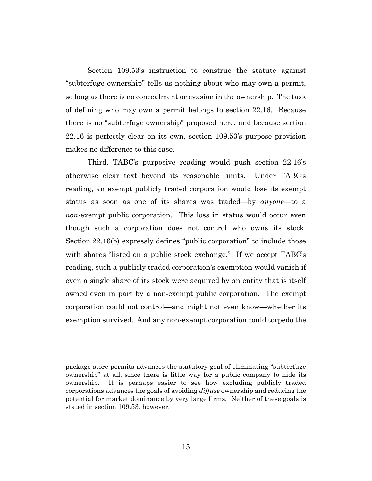Section 109.53's instruction to construe the statute against "subterfuge ownership" tells us nothing about who may own a permit, so long as there is no concealment or evasion in the ownership. The task of defining who may own a permit belongs to section 22.16. Because there is no "subterfuge ownership" proposed here, and because section 22.16 is perfectly clear on its own, section 109.53's purpose provision makes no difference to this case.

Third, TABC's purposive reading would push section 22.16's otherwise clear text beyond its reasonable limits. Under TABC's reading, an exempt publicly traded corporation would lose its exempt status as soon as one of its shares was traded—by *anyone*—to a *non*-exempt public corporation. This loss in status would occur even though such a corporation does not control who owns its stock. Section 22.16(b) expressly defines "public corporation" to include those with shares "listed on a public stock exchange." If we accept TABC's reading, such a publicly traded corporation's exemption would vanish if even a single share of its stock were acquired by an entity that is itself owned even in part by a non-exempt public corporation. The exempt corporation could not control—and might not even know—whether its exemption survived. And any non-exempt corporation could torpedo the

package store permits advances the statutory goal of eliminating "subterfuge ownership" at all, since there is little way for a public company to hide its ownership. It is perhaps easier to see how excluding publicly traded corporations advances the goals of avoiding *diffuse* ownership and reducing the potential for market dominance by very large firms. Neither of these goals is stated in section 109.53, however.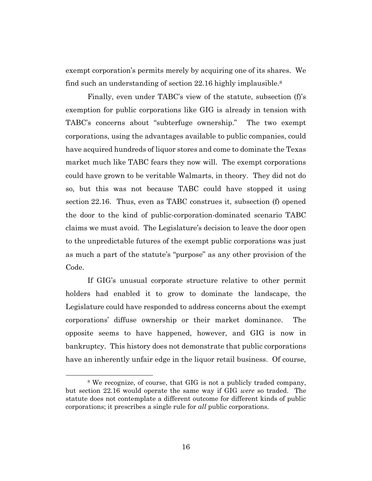exempt corporation's permits merely by acquiring one of its shares. We find such an understanding of section 22.16 highly implausible.<sup>8</sup>

Finally, even under TABC's view of the statute, subsection (f)'s exemption for public corporations like GIG is already in tension with TABC's concerns about "subterfuge ownership." The two exempt corporations, using the advantages available to public companies, could have acquired hundreds of liquor stores and come to dominate the Texas market much like TABC fears they now will. The exempt corporations could have grown to be veritable Walmarts, in theory. They did not do so, but this was not because TABC could have stopped it using section 22.16. Thus, even as TABC construes it, subsection (f) opened the door to the kind of public-corporation-dominated scenario TABC claims we must avoid. The Legislature's decision to leave the door open to the unpredictable futures of the exempt public corporations was just as much a part of the statute's "purpose" as any other provision of the Code.

If GIG's unusual corporate structure relative to other permit holders had enabled it to grow to dominate the landscape, the Legislature could have responded to address concerns about the exempt corporations' diffuse ownership or their market dominance. The opposite seems to have happened, however, and GIG is now in bankruptcy. This history does not demonstrate that public corporations have an inherently unfair edge in the liquor retail business. Of course,

<sup>&</sup>lt;sup>8</sup> We recognize, of course, that GIG is not a publicly traded company, but section 22.16 would operate the same way if GIG *were* so traded. The statute does not contemplate a different outcome for different kinds of public corporations; it prescribes a single rule for *all* public corporations.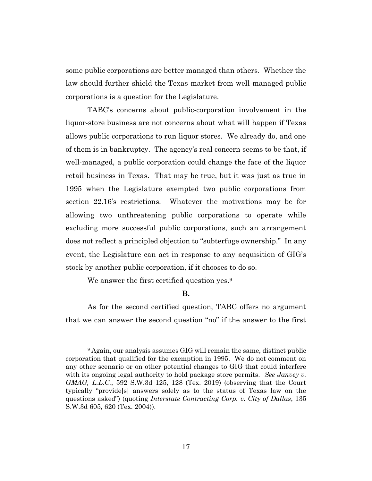some public corporations are better managed than others. Whether the law should further shield the Texas market from well-managed public corporations is a question for the Legislature.

TABC's concerns about public-corporation involvement in the liquor-store business are not concerns about what will happen if Texas allows public corporations to run liquor stores. We already do, and one of them is in bankruptcy. The agency's real concern seems to be that, if well-managed, a public corporation could change the face of the liquor retail business in Texas. That may be true, but it was just as true in 1995 when the Legislature exempted two public corporations from section 22.16's restrictions. Whatever the motivations may be for allowing two unthreatening public corporations to operate while excluding more successful public corporations, such an arrangement does not reflect a principled objection to "subterfuge ownership." In any event, the Legislature can act in response to any acquisition of GIG's stock by another public corporation, if it chooses to do so.

We answer the first certified question yes.<sup>9</sup>

## **B.**

As for the second certified question, TABC offers no argument that we can answer the second question "no" if the answer to the first

<sup>9</sup> Again, our analysis assumes GIG will remain the same, distinct public corporation that qualified for the exemption in 1995. We do not comment on any other scenario or on other potential changes to GIG that could interfere with its ongoing legal authority to hold package store permits. *See Janvey v. GMAG, L.L.C.*, 592 S.W.3d 125, 128 (Tex. 2019) (observing that the Court typically "provide[s] answers solely as to the status of Texas law on the questions asked") (quoting *Interstate Contracting Corp. v. City of Dallas*, 135 S.W.3d 605, 620 (Tex. 2004)).